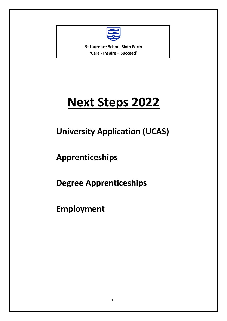

**St Laurence School Sixth Form 'Care - Inspire – Succeed'**

# **Next Steps 2022**

## **University Application (UCAS)**

**Apprenticeships**

**Degree Apprenticeships**

**Employment**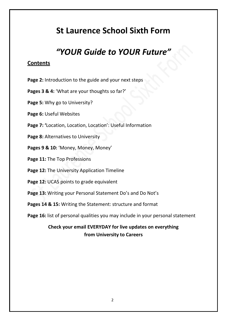## **St Laurence School Sixth Form**

## *"YOUR Guide to YOUR Future"*

### **Contents**

- **Page 2:** Introduction to the guide and your next steps
- **Pages 3 & 4:** 'What are your thoughts so far?'
- **Page 5:** Why go to University?
- **Page 6: Useful Websites**
- **Page 7: '**Location, Location, Location': Useful Information
- Page 8: Alternatives to University
- **Pages 9 & 10:** 'Money, Money, Money'
- **Page 11:** The Top Professions
- **Page 12:** The University Application Timeline
- Page 12: UCAS points to grade equivalent
- **Page 13:** Writing your Personal Statement Do's and Do Not's
- **Pages 14 & 15:** Writing the Statement: structure and format
- Page 16: list of personal qualities you may include in your personal statement

### **Check your email EVERYDAY for live updates on everything from University to Careers**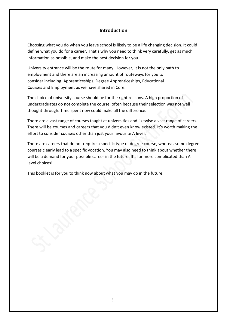#### **Introduction**

Choosing what you do when you leave school is likely to be a life changing decision. It could define what you do for a career. That's why you need to think very carefully, get as much information as possible, and make the best decision for you.

University entrance will be the route for many. However, it is not the only path to employment and there are an increasing amount of routeways for you to consider including: Apprenticeships, Degree Apprenticeships, Educational Courses and Employment as we have shared in Core.

The choice of university course should be for the right reasons. A high proportion of undergraduates do not complete the course, often because their selection was not well thought through. Time spent now could make all the difference.

There are a vast range of courses taught at universities and likewise a vast range of careers. There will be courses and careers that you didn't even know existed. It's worth making the effort to consider courses other than just your favourite A level.

There are careers that do not require a specific type of degree course, whereas some degree courses clearly lead to a specific vocation. You may also need to think about whether there will be a demand for your possible career in the future. It's far more complicated than A level choices!

This booklet is for you to think now about what you may do in the future.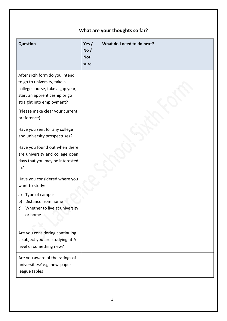## **What are your thoughts so far?**

| <b>Question</b>                                                                                                                                                                                                   | Yes $/$<br>No/<br><b>Not</b><br>sure | What do I need to do next? |
|-------------------------------------------------------------------------------------------------------------------------------------------------------------------------------------------------------------------|--------------------------------------|----------------------------|
| After sixth form do you intend<br>to go to university, take a<br>college course, take a gap year,<br>start an apprenticeship or go<br>straight into employment?<br>(Please make clear your current<br>preference) |                                      |                            |
| Have you sent for any college<br>and university prospectuses?                                                                                                                                                     |                                      |                            |
| Have you found out when there<br>are university and college open<br>days that you may be interested<br>in?                                                                                                        |                                      |                            |
| Have you considered where you<br>want to study:<br>Type of campus<br>a)<br>Distance from home<br>b)<br>c) Whether to live at university<br>or home                                                                |                                      |                            |
| Are you considering continuing<br>a subject you are studying at A<br>level or something new?                                                                                                                      |                                      |                            |
| Are you aware of the ratings of<br>universities? e.g. newspaper<br>league tables                                                                                                                                  |                                      |                            |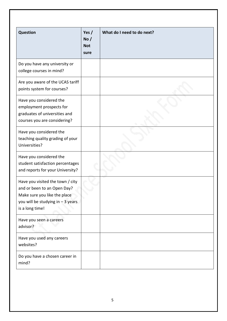| <b>Question</b>                                                                                                                                         | Yes $/$<br>No /<br><b>Not</b><br>sure | What do I need to do next? |
|---------------------------------------------------------------------------------------------------------------------------------------------------------|---------------------------------------|----------------------------|
| Do you have any university or<br>college courses in mind?                                                                                               |                                       |                            |
| Are you aware of the UCAS tariff<br>points system for courses?                                                                                          |                                       |                            |
| Have you considered the<br>employment prospects for<br>graduates of universities and<br>courses you are considering?                                    |                                       |                            |
| Have you considered the<br>teaching quality grading of your<br>Universities?                                                                            |                                       |                            |
| Have you considered the<br>student satisfaction percentages<br>and reports for your University?                                                         |                                       |                            |
| Have you visited the town / city<br>and or been to an Open Day?<br>Make sure you like the place<br>you will be studying in - 3 years<br>is a long time! |                                       |                            |
| Have you seen a careers<br>advisor?                                                                                                                     |                                       |                            |
| Have you used any careers<br>websites?                                                                                                                  |                                       |                            |
| Do you have a chosen career in<br>mind?                                                                                                                 |                                       |                            |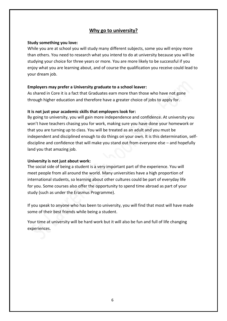#### **Why go to university?**

#### **Study something you love:**

While you are at school you will study many different subjects, some you will enjoy more than others. You need to research what you intend to do at university because you will be studying your choice for three years or more. You are more likely to be successful if you enjoy what you are learning about, and of course the qualification you receive could lead to your dream job.

#### **Employers may prefer a University graduate to a school leaver:**

As shared in Core it is a fact that Graduates earn more than those who have not gone through higher education and therefore have a greater choice of jobs to apply for.

#### **It is not just your academic skills that employers look for:**

By going to university, you will gain more independence and confidence. At university you won't have teachers chasing you for work, making sure you have done your homework or that you are turning up to class. You will be treated as an adult and you must be independent and disciplined enough to do things on your own. It is this determination, selfdiscipline and confidence that will make you stand out from everyone else – and hopefully land you that amazing job.

#### **University is not just about work:**

The social side of being a student is a very important part of the experience. You will meet people from all around the world. Many universities have a high proportion of international students, so learning about other cultures could be part of everyday life for you. Some courses also offer the opportunity to spend time abroad as part of your study (such as under the Erasmus Programme).

If you speak to anyone who has been to university, you will find that most will have made some of their best friends while being a student.

Your time at university will be hard work but it will also be fun and full of life changing experiences.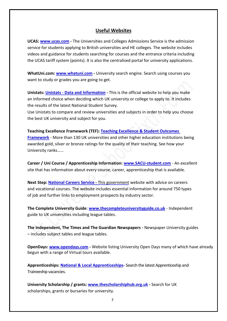#### **Useful Websites**

**UCAS: [www.ucas.com](http://www.ucas.com/) -** The Universities and Colleges Admissions Service is the admission service for students applying to British universities and HE colleges. The website includes videos and guidance for students searching for courses and the entrance criteria including the UCAS tariff system (points). It is also the centralised portal for university applications.

**WhatUni.com: [www.whatuni.com](http://www.whatuni.com/) -** University search engine. Search using courses you want to study or grades you are going to get.

**Unistats: Unistats - [Data and Information](https://www.officeforstudents.org.uk/advice-and-guidance/student-information-and-data/discover-uni-and-unistats/unistats-collection-and-dataset/) -** This is the official website to help you make an informed choice when deciding which UK university or college to apply to. It includes the results of the latest National Student Survey.

Use Unistats to compare and review universities and subjects in order to help you choose the best UK university and subject for you.

**Teaching Excellence Framework (TEF): [Teaching Excellence & Student Outcomes](https://www.officeforstudents.org.uk/for-students/the-tef/)  [Framework](https://www.officeforstudents.org.uk/for-students/the-tef/)** - More than 130 UK universities and other higher education institutions being awarded gold, silver or bronze ratings for the quality of their teaching. See how your University ranks……

**Career / Uni Course / Apprenticeship Information: [www.SACU-student.com](http://www.sacu-student.com/)** - An excellent site that has information about every course, career, apprenticeship that is available.

**Next Step: [National Careers Service](https://nationalcareers.service.gov.uk/) -** This government website with advice on careers and vocational courses. The website includes essential information for around 750 types of job and further links to employment prospects by industry sector.

**The Complete University Guide**: **[www.thecompleteuniversityguide.co.uk](http://www.thecompleteuniversityguide.co.uk/)** - Independent guide to UK universities including league tables.

**The Independent, The Times and The Guardian Newspapers -** Newspaper University guides – includes subject tables and league tables.

**OpenDays: [www.opendays.com](http://www.opendays.com/) -** Website listing University Open Days many of which have already begun with a range of Virtual tours available.

**Apprenticeships: [National & Local Apprenticeships-](https://www.apprenticeships.gov.uk/)** Search the latest Apprenticeship and Traineeship vacancies.

**University Scholarship / grants: [www.thescholarshiphub.org.uk](http://www.thescholarshiphub.org.uk/) -** Search for UK scholarships, grants or bursaries for university.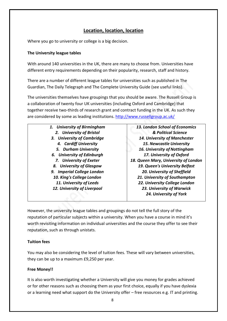#### **Location, location, location**

Where you go to university or college is a big decision.

#### **The University league tables**

With around 140 universities in the UK, there are many to choose from. Universities have different entry requirements depending on their popularity, research, staff and history.

There are a number of different league tables for universities such as published in The Guardian, The Daily Telegraph and The Complete University Guide (see useful links).

The universities themselves have groupings that you should be aware. The Russell Group is a collaboration of twenty fou[r UK universities \(](http://en.wikipedia.org/wiki/Universities_in_the_United_Kingdom)including Oxford and Cambridge) that together receive two-thirds of research grant and contract funding in the UK. As such they are considered by some as leading institutions.<http://www.russellgroup.ac.uk/>

| 13. London School of Economics       |
|--------------------------------------|
| & Political Science                  |
| 14. University of Manchester         |
| 15. Newcastle University             |
| 16. University of Nottingham         |
| 17. University of Oxford             |
| 18. Queen Mary, University of London |
| 19. Queen's University Belfast       |
| 20. University of Sheffield          |
| 21. University of Southampton        |
| 22. University College London        |
| 23. University of Warwick            |
| 24. University of York               |
|                                      |
|                                      |

However, the university league tables and groupings do not tell the full story of the reputation of particular subjects within a university. When you have a course in mind it's worth revisiting information on individual universities and the course they offer to see their reputation, such as through unistats.

#### **Tuition fees**

You may also be considering the level of tuition fees. These will vary between universities, they can be up to a maximum £9,250 per year.

#### **Free Money!!**

It is also worth investigating whether a University will give you money for grades achieved or for other reasons such as choosing them as your first choice, equally if you have dyslexia or a learning need what support do the University offer – free resources e.g. IT and printing.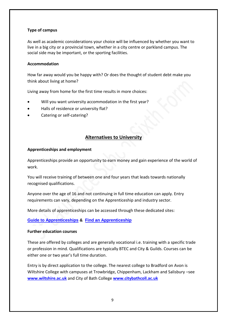#### **Type of campus**

As well as academic considerations your choice will be influenced by whether you want to live in a big city or a provincial town, whether in a city centre or parkland campus. The social side may be important, or the sporting facilities.

#### **Accommodation**

How far away would you be happy with? Or does the thought of student debt make you think about living at home?

Living away from home for the first time results in more choices:

- Will you want university accommodation in the first year?
- Halls of residence or university flat?
- Catering or self-catering?

#### **Alternatives to University**

#### **Apprenticeships and employment**

Apprenticeships provide an opportunity to earn money and gain experience of the world of work.

You will receive training of between one and four years that leads towards nationally recognised qualifications.

Anyone over the age of 16 and not continuing in full time education can apply. Entry requirements can vary, depending on the Apprenticeship and industry sector.

More details of apprenticeships can be accessed through these dedicated sites:

**[Guide to Apprenticeships](https://www.gov.uk/topic/further-education-skills/apprenticeships) & [Find an Apprenticeship](https://www.apprenticeships.gov.uk/)**

#### **Further education courses**

These are offered by colleges and are generally vocational i.e. training with a specific trade or profession in mind. Qualifications are typically BTEC and City & Guilds. Courses can be either one or two year's full time duration.

Entry is by direct application to the college. The nearest college to Bradford on Avon is Wiltshire College with campuses at Trowbridge, Chippenham, Lackham and Salisbury –see **[www.wiltshire.ac.uk](http://www.wiltshire.ac.uk/)** and City of Bath College **[www.citybathcoll.ac.uk](http://www.citybathcoll.ac.uk/)**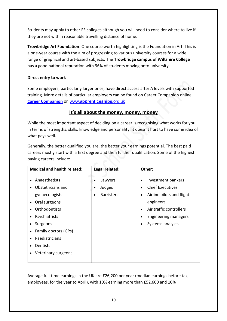Students may apply to other FE colleges although you will need to consider where to live if they are not within reasonable travelling distance of home.

**Trowbridge Art Foundation**: One course worth highlighting is the Foundation in Art. This is a one-year course with the aim of progressing to various university courses for a wide range of graphical and art-based subjects. The **Trowbridge campus of Wiltshire College** has a good national reputation with 96% of students moving onto university.

#### **Direct entry to work**

Some employers, particularly larger ones, have direct access after A levels with supported training. More details of particular employers can be found on Career Companion online **[Career Companion](https://www.careercompanion.co.uk/)** or www.**[apprenticeships](http://www.apprenticeships.org.uk/)**.org.uk

#### **It's all about the money, money, money**

While the most important aspect of deciding on a career is recognising what works for you in terms of strengths, skills, knowledge and personality, it doesn't hurt to have some idea of what pays well.

Generally, the better qualified you are, the better your earnings potential. The best paid careers mostly start with a first degree and then further qualification. Some of the highest paying careers include:

| <b>Medical and health related:</b>                                                                                                                                                                                                                                                                                    | Legal related:                                      | Other:                                                                                                                                                                                          |
|-----------------------------------------------------------------------------------------------------------------------------------------------------------------------------------------------------------------------------------------------------------------------------------------------------------------------|-----------------------------------------------------|-------------------------------------------------------------------------------------------------------------------------------------------------------------------------------------------------|
| Anaesthetists<br>$\bullet$<br>Obstetricians and<br>$\bullet$<br>gynaecologists<br>Oral surgeons<br>$\bullet$<br>Orthodontists<br>Psychiatrists<br>$\bullet$<br>Surgeons<br>$\bullet$<br>Family doctors (GPs)<br>$\bullet$<br>Paediatricians<br>$\bullet$<br>Dentists<br>$\bullet$<br>Veterinary surgeons<br>$\bullet$ | Lawyers<br>Judges<br><b>Barristers</b><br>$\bullet$ | Investment bankers<br><b>Chief Executives</b><br>Airline pilots and flight<br>$\bullet$<br>engineers<br>Air traffic controllers<br>$\bullet$<br><b>Engineering managers</b><br>Systems analysts |

Average full-time earnings in the UK are £26,200 per year (median earnings before tax, employees, for the year to April), with 10% earning more than £52,600 and 10%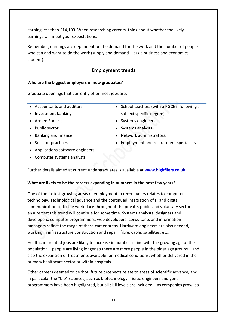earning less than £14,100. When researching careers, think about whether the likely earnings will meet your expectations.

Remember, earnings are dependent on the demand for the work and the number of people who can and want to do the work (supply and demand – ask a business and economics student).

#### **Employment trends**

#### **Who are the biggest employers of new graduates?**

Graduate openings that currently offer most jobs are:

- Accountants and auditors
- Investment banking
- Armed Forces
- Public sector
- Banking and finance
- Solicitor practices
- Applications software engineers.
- Computer systems analysts
- School teachers (with a PGCE if following a subject specific degree).
- Systems engineers.
- Systems analysts.
- Network administrators.
- Employment and recruitment specialists

Further details aimed at current undergraduates is available at **[www.highfliers.co.uk](http://www.highfliers.co.uk/)**

#### **What are likely to be the careers expanding in numbers in the next few years?**

One of the fastest growing areas of employment in recent years relates to computer technology. Technological advance and the continued integration of IT and digital communications into the workplace throughout the private, public and voluntary sectors ensure that this trend will continue for some time. Systems analysts, designers and developers, computer programmers, web developers, consultants and information managers reflect the range of these career areas. Hardware engineers are also needed, working in infrastructure construction and repair, fibre, cable, satellites, etc.

Healthcare related jobs are likely to increase in number in line with the growing age of the population – people are living longer so there are more people in the older age groups – and also the expansion of treatments available for medical conditions, whether delivered in the primary healthcare sector or within hospitals.

Other careers deemed to be 'hot' future prospects relate to areas of scientific advance, and in particular the "bio" sciences, such as biotechnology. Tissue engineers and gene programmers have been highlighted, but all skill levels are included – as companies grow, so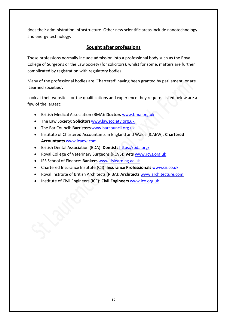does their administration infrastructure. Other new scientific areas include nanotechnology and energy technology.

#### **Sought after professions**

These professions normally include admission into a professional body such as the Royal College of Surgeons or the Law Society (for solicitors), whilst for some, matters are further complicated by registration with regulatory bodies.

Many of the professional bodies are 'Chartered' having been granted by parliament, or are 'Learned societies'.

Look at their websites for the qualifications and experience they require. Listed below are a few of the largest:

- British Medical Association (BMA): **Doctors** [www.bma.org.uk](http://www.bma.org.uk/)
- The Law Society: **Solicitors**[www.lawsociety.org.uk](http://www.lawsociety.org.uk/)
- The Bar Council: **Barristers** [www.barcouncil.org.uk](http://www.barcouncil.org.uk/)
- Institute of Chartered Accountants in England and Wales (ICAEW): **Chartered Accountants** [www.icaew.com](http://www.icaew.com/)
- British Dental Association (BDA): **Dentists** <https://bda.org/>
- Royal College of Veterinary Surgeons (RCVS): **Vets** [www.rcvs.org.uk](http://www.rcvs.org.uk/)
- IFS School of Finance: **Bankers** [www.ifslearning.ac.uk](http://www.ifslearning.ac.uk/)
- Chartered Insurance Institute (CII): **Insurance Professionals** [www.cii.co.uk](http://www.cii.co.uk/)
- Royal Institute of British Architects (RIBA): **Architects** [www.architecture.com](http://www.architecture.com/)
- Institute of Civil Engineers (ICE): **Civil Engineers** [www.ice.org.uk](http://www.ice.org.uk/)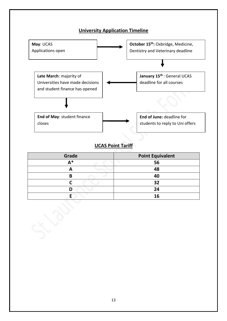

## **UCAS Point Tariff**

| Grade | <b>Point Equivalent</b> |
|-------|-------------------------|
| Λ*    | 56                      |
|       | 48                      |
| B     | 40                      |
|       | 32                      |
|       | 24                      |
|       | 16                      |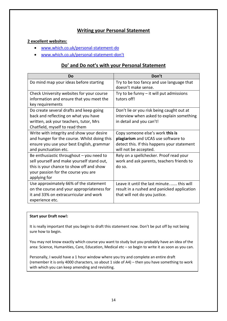#### **Writing your Personal Statement**

#### **2 excellent websites:**

- [www.which.co.uk/personal-statement-do](http://www.which.co.uk/personal-statement-do)
- [www.which.co.uk/personal-statement-](http://www.which.co.uk/personal-statement-don%27t)don't

#### **Do' and Do not's with your Personal Statement**

| Do                                                                                                                                                                                          | Don't                                                                                                                                           |
|---------------------------------------------------------------------------------------------------------------------------------------------------------------------------------------------|-------------------------------------------------------------------------------------------------------------------------------------------------|
| Do mind map your ideas before starting                                                                                                                                                      | Try to be too fancy and use language that<br>doesn't make sense.                                                                                |
| Check University websites for your course<br>information and ensure that you meet the<br>key requirements                                                                                   | Try to be funny $-$ it will put admissions<br>tutors off!                                                                                       |
| Do create several drafts and keep going<br>back and reflecting on what you have<br>written, ask your teachers, tutor, Mrs<br>Chatfield, myself to read them                                 | Don't lie or you risk being caught out at<br>interview when asked to explain something<br>in detail and you can't!                              |
| Write with integrity and show your desire<br>and hunger for the course. Whilst doing this<br>ensure you use your best English, grammar<br>and punctuation etc.                              | Copy someone else's work this is<br>plagiarism and UCAS use software to<br>detect this. If this happens your statement<br>will not be accepted. |
| Be enthusiastic throughout $-$ you need to<br>sell yourself and make yourself stand out,<br>this is your chance to show off and show<br>your passion for the course you are<br>applying for | Rely on a spellchecker. Proof read your<br>work and ask parents, teachers friends to<br>do so.                                                  |
| Use approximately 66% of the statement<br>on the course and your appropriateness for<br>it and 33% on extracurricular and work<br>experience etc.                                           | Leave it until the last minute this will<br>result in a rushed and panicked application<br>that will not do you justice.                        |

#### **Start your Draft now!:**

It is really important that you begin to draft this statement now. Don't be put off by not being sure how to begin.

You may not know exactly which course you want to study but you probably have an idea of the area: Science, Humanities, Care, Education, Medical etc – so begin to write it as soon as you can.

Personally, I would have a 1 hour window where you try and complete an entire draft (remember it is only 4000 characters, so about 1 side of A4) – then you have something to work with which you can keep amending and revisiting.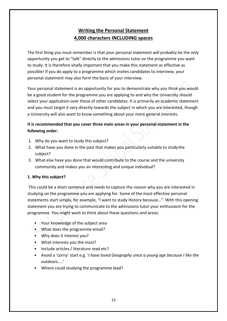### **Writing the Personal Statement 4,000 characters INCLUDING spaces**

The first thing you must remember is that your personal statement will probably be the only opportunity you get to "talk" directly to the admissions tutor on the programme you want to study. It is therefore vitally important that you make this statement as effective as possible! If you do apply to a programme which invites candidates to interview, your personal statement may also form the basis of your interview.

Your personal statement is an opportunity for you to demonstrate why you think you would be a good student for the programme you are applying to and why the University should select your application over those of other candidates. It is primarily an academic statement and you must target it very directly towards the subject in which you are interested, though a University will also want to know something about your more general interests.

#### **It is recommended that you cover three main areas in your personal statement in the following order:**

- 1. Why do you want to study this subject?
- 2. What have you done in the past that makes you particularly suitable to studythe subject?
- 3. What else have you done that would contribute to the course and the university community and makes you an interesting and unique individual?

#### **1. Why this subject?**

This could be a short sentence and needs to capture the reason why you are interested in studying on the programme you are applying for. Some of the most effective personal statements start simply, for example, "I want to study History because…". With this opening statement you are trying to communicate to the admissions tutor your enthusiasm for the programme. You might want to think about these questions and areas:

- Your knowledge of the subject area
- What does the programme entail?
- Why does it interest you?
- What interests you the most?
- Include articles / literature read etc?
- Avoid a 'corny' start e.g. '*I have loved Geography since a young age because I like the outdoors…..*'
- Where could studying the programme lead?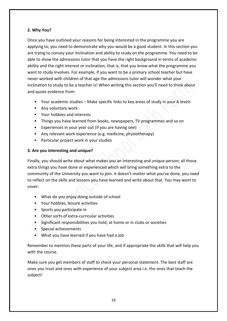#### **2. Why You?**

Once you have outlined your reasons for being interested in the programme you are applying to, you need to demonstrate why you would be a good student. In this section you are trying to convey your inclination and ability to study on the programme. You need to be able to show the admissions tutor that you have the right background in terms of academic ability and the right interest or inclination, that is, that you know what the programme you want to study involves. For example, if you want to be a primary school teacher but have never worked with children of that age the admissions tutor will wonder what your inclination to study to be a teacher is! When writing this section you'll need to think about and quote evidence from:

- Your academic studies Make specific links to key areas of study in your A levels
- Any voluntary work
- Your hobbies and interests
- Things you have learned from books, newspapers, TV programmes and so on
- Experiences in your year out (if you are having one)
- Any relevant work experience (e.g. medicine, physiotherapy)
- Particular project work in your studies

#### **3. Are you interesting and unique?**

Finally, you should write about what makes you an interesting and unique person; all those extra things you have done or experienced which will bring something extra to the community of the University you want to join. It doesn't matter what you've done, you need to reflect on the skills and lessons you have learned and write about that. You may want to cover:

- What do you enjoy doing outside of school
- Your hobbies, leisure activities
- Sports you participate in
- Other sorts of extra-curricular activities
- Significant responsibilities you hold, at home or in clubs or societies
- Special achievements
- What you have learned if you have had a job

Remember to mention these parts of your life, and if appropriate the skills that will help you with the course.

Make sure you get members of staff to check your personal statement. The best staff are ones you trust and ones with experience of your subject area i.e. the ones that teach the subject!